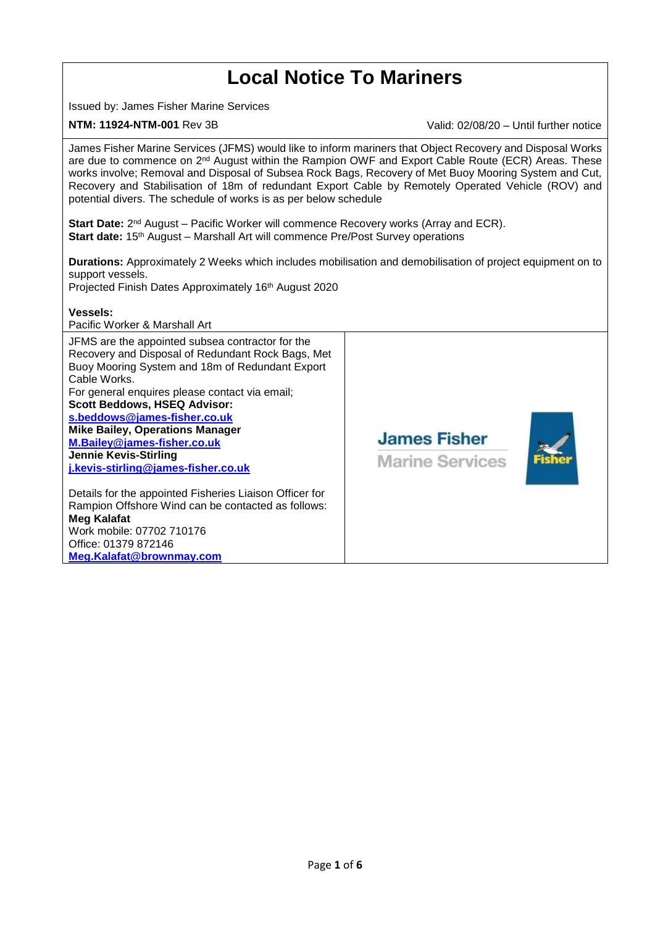## **Local Notice To Mariners** Issued by: James Fisher Marine Services **NTM: 11924-NTM-001** Rev 3B Valid: 02/08/20 – Until further notice James Fisher Marine Services (JFMS) would like to inform mariners that Object Recovery and Disposal Works are due to commence on 2<sup>nd</sup> August within the Rampion OWF and Export Cable Route (ECR) Areas. These works involve; Removal and Disposal of Subsea Rock Bags, Recovery of Met Buoy Mooring System and Cut, Recovery and Stabilisation of 18m of redundant Export Cable by Remotely Operated Vehicle (ROV) and potential divers. The schedule of works is as per below schedule **Start Date:** 2<sup>nd</sup> August – Pacific Worker will commence Recovery works (Array and ECR). **Start date:** 15<sup>th</sup> August – Marshall Art will commence Pre/Post Survey operations **Durations:** Approximately 2 Weeks which includes mobilisation and demobilisation of project equipment on to support vessels. Projected Finish Dates Approximately 16<sup>th</sup> August 2020 **Vessels:** Pacific Worker & Marshall Art JFMS are the appointed subsea contractor for the Recovery and Disposal of Redundant Rock Bags, Met Buoy Mooring System and 18m of Redundant Export Cable Works. For general enquires please contact via email; **Scott Beddows, HSEQ Advisor: [s.beddows@james-fisher.co.uk](mailto:s.beddows@james-fisher.co.uk) Mike Bailey, Operations Manager James Fisher [M.Bailey@james-fisher.co.uk](mailto:M.Bailey@james-fisher.co.uk) Jennie Kevis-Stirling Marine Services [j.kevis-stirling@james-fisher.co.uk](mailto:j.kevis-stirling@james-fisher.co.uk)** Details for the appointed Fisheries Liaison Officer for Rampion Offshore Wind can be contacted as follows: **Meg Kalafat** Work mobile: 07702 710176 Office: 01379 872146 **[Meg.Kalafat@brownmay.com](mailto:Meg.Kalafat@brownmay.com)**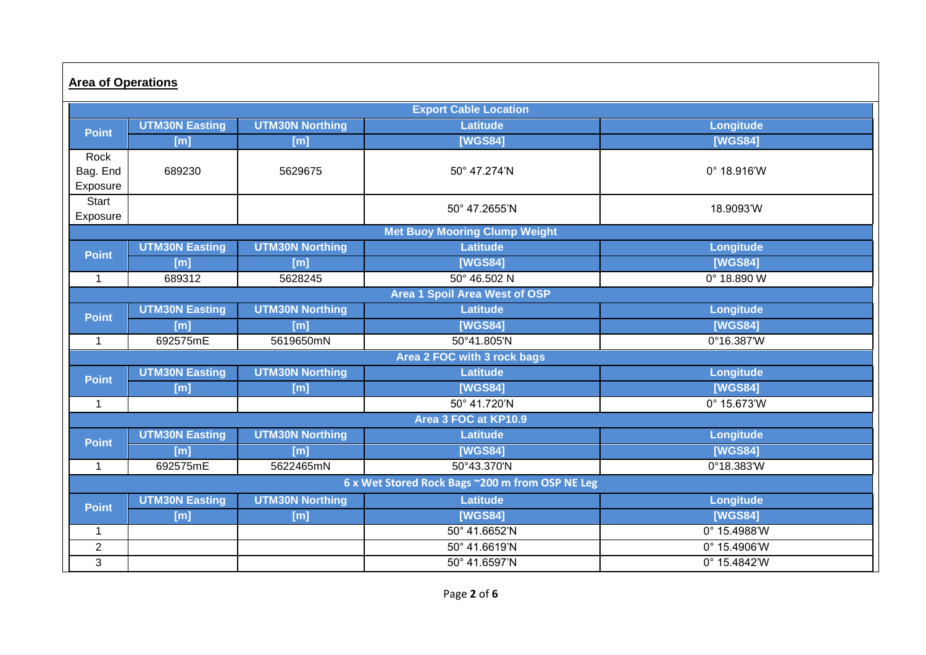| <b>Area of Operations</b>                       |                       |                        |                 |                      |  |  |  |
|-------------------------------------------------|-----------------------|------------------------|-----------------|----------------------|--|--|--|
| <b>Export Cable Location</b>                    |                       |                        |                 |                      |  |  |  |
| <b>Point</b>                                    | <b>UTM30N Easting</b> | <b>UTM30N Northing</b> | <b>Latitude</b> | Longitude            |  |  |  |
|                                                 | [m]                   | [m]                    | <b>[WGS84]</b>  | [WGS84]              |  |  |  |
| Rock                                            |                       |                        |                 |                      |  |  |  |
| Bag. End                                        | 689230                | 5629675                | 50° 47.274'N    | $0^{\circ}$ 18.916'W |  |  |  |
| Exposure                                        |                       |                        |                 |                      |  |  |  |
| Start                                           |                       |                        | 50° 47.2655'N   | 18.9093'W            |  |  |  |
| Exposure                                        |                       |                        |                 |                      |  |  |  |
| <b>Met Buoy Mooring Clump Weight</b>            |                       |                        |                 |                      |  |  |  |
| <b>Point</b>                                    | <b>UTM30N Easting</b> | <b>UTM30N Northing</b> | Latitude        | Longitude            |  |  |  |
|                                                 | [m]                   | [m]                    | [WGS84]         | [WGS84]              |  |  |  |
| $\mathbf{1}$                                    | 689312                | 5628245                | 50° 46.502 N    | $0^{\circ}$ 18.890 W |  |  |  |
| <b>Area 1 Spoil Area West of OSP</b>            |                       |                        |                 |                      |  |  |  |
| <b>Point</b>                                    | <b>UTM30N Easting</b> | <b>UTM30N Northing</b> | <b>Latitude</b> | Longitude            |  |  |  |
|                                                 | [m]                   | [m]                    | [WGS84]         | [WGS84]              |  |  |  |
| $\overline{1}$                                  | 692575mE              | 5619650mN              | 50°41.805'N     | 0°16.387'W           |  |  |  |
| Area 2 FOC with 3 rock bags                     |                       |                        |                 |                      |  |  |  |
| <b>Point</b>                                    | <b>UTM30N Easting</b> | <b>UTM30N Northing</b> | <b>Latitude</b> | Longitude            |  |  |  |
|                                                 | [m]                   | [m]                    | [WGS84]         | [WGS84]              |  |  |  |
| $\mathbf{1}$                                    |                       |                        | 50° 41.720'N    | 0° 15.673'W          |  |  |  |
| Area 3 FOC at KP10.9                            |                       |                        |                 |                      |  |  |  |
| <b>Point</b>                                    | <b>UTM30N Easting</b> | <b>UTM30N Northing</b> | <b>Latitude</b> | Longitude            |  |  |  |
|                                                 | [m]                   | [m]                    | [WGS84]         | [WGS84]              |  |  |  |
| $\mathbf 1$                                     | 692575mE              | 5622465mN              | 50°43.370'N     | 0°18.383'W           |  |  |  |
| 6 x Wet Stored Rock Bags ~200 m from OSP NE Leg |                       |                        |                 |                      |  |  |  |
| <b>Point</b>                                    | <b>UTM30N Easting</b> | <b>UTM30N Northing</b> | <b>Latitude</b> | Longitude            |  |  |  |
|                                                 | [m]                   | [m]                    | [WGS84]         | [WGS84]              |  |  |  |
| $\mathbf{1}$                                    |                       |                        | 50° 41.6652'N   | 0° 15.4988'W         |  |  |  |
| $\overline{2}$                                  |                       |                        | 50° 41.6619'N   | 0° 15.4906'W         |  |  |  |
| 3                                               |                       |                        | 50° 41.6597'N   | 0° 15.4842'W         |  |  |  |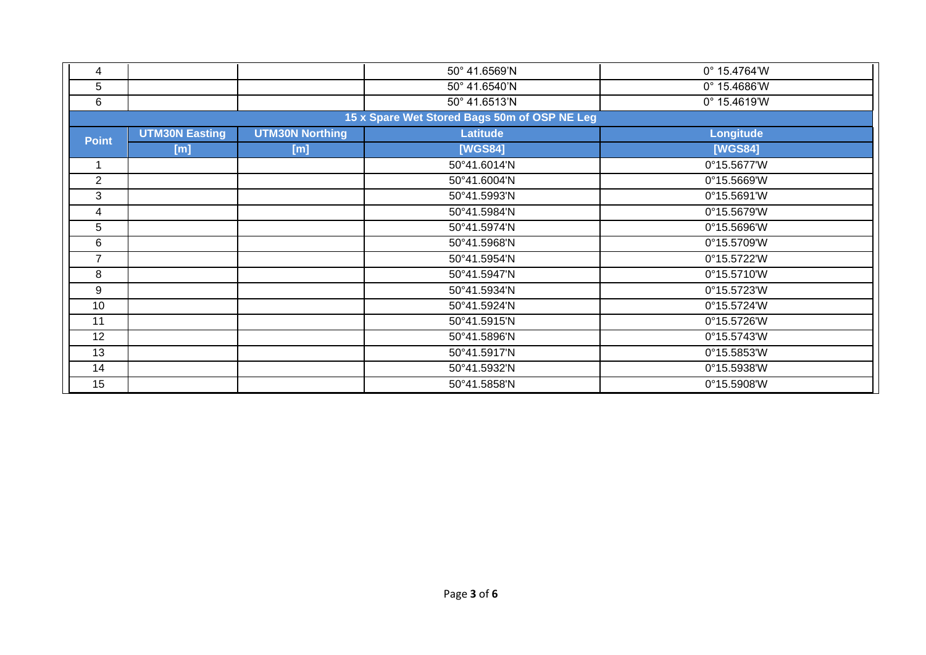| 4                                            |                       |                        | 50° 41.6569'N | 0° 15.4764'W          |  |  |
|----------------------------------------------|-----------------------|------------------------|---------------|-----------------------|--|--|
| 5                                            |                       |                        | 50° 41.6540'N | $0^{\circ}$ 15.4686'W |  |  |
| 6                                            |                       |                        | 50° 41.6513'N | $0^{\circ}$ 15.4619'W |  |  |
| 15 x Spare Wet Stored Bags 50m of OSP NE Leg |                       |                        |               |                       |  |  |
| <b>Point</b>                                 | <b>UTM30N Easting</b> | <b>UTM30N Northing</b> | Latitude      | Longitude             |  |  |
|                                              | [m]                   | [m]                    | [WGS84]       | [WGS84]               |  |  |
|                                              |                       |                        | 50°41.6014'N  | 0°15.5677'W           |  |  |
| 2                                            |                       |                        | 50°41.6004'N  | 0°15.5669'W           |  |  |
| 3                                            |                       |                        | 50°41.5993'N  | 0°15.5691'W           |  |  |
| 4                                            |                       |                        | 50°41.5984'N  | 0°15.5679'W           |  |  |
| 5                                            |                       |                        | 50°41.5974'N  | 0°15.5696'W           |  |  |
| 6                                            |                       |                        | 50°41.5968'N  | 0°15.5709'W           |  |  |
| $\overline{7}$                               |                       |                        | 50°41.5954'N  | 0°15.5722'W           |  |  |
| 8                                            |                       |                        | 50°41.5947'N  | 0°15.5710'W           |  |  |
| 9                                            |                       |                        | 50°41.5934'N  | 0°15.5723'W           |  |  |
| 10                                           |                       |                        | 50°41.5924'N  | 0°15.5724'W           |  |  |
| 11                                           |                       |                        | 50°41.5915'N  | 0°15.5726'W           |  |  |
| 12                                           |                       |                        | 50°41.5896'N  | 0°15.5743'W           |  |  |
| 13                                           |                       |                        | 50°41.5917'N  | 0°15.5853'W           |  |  |
| 14                                           |                       |                        | 50°41.5932'N  | 0°15.5938'W           |  |  |
| 15                                           |                       |                        | 50°41.5858'N  | 0°15.5908'W           |  |  |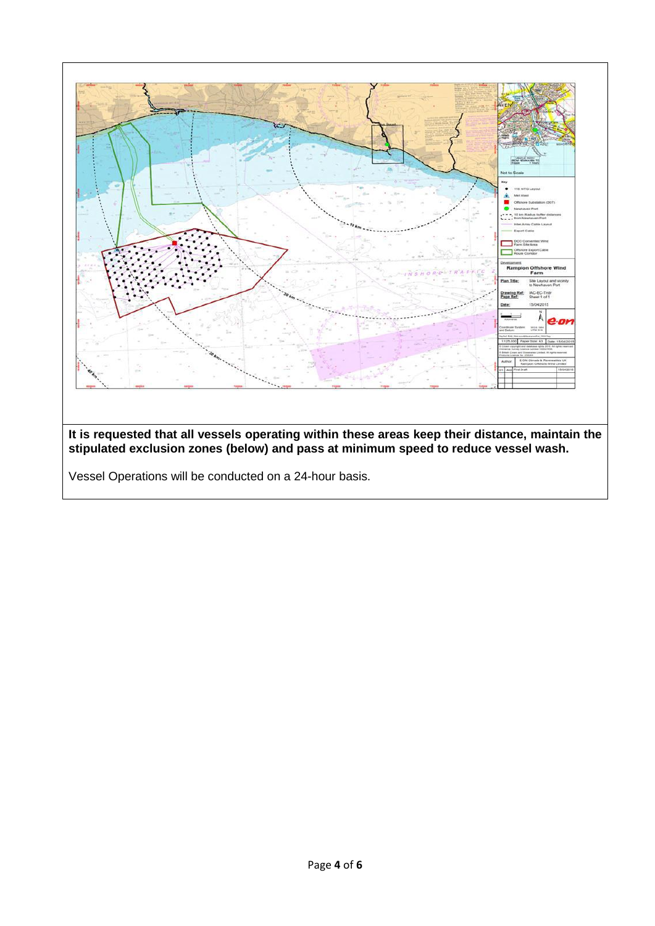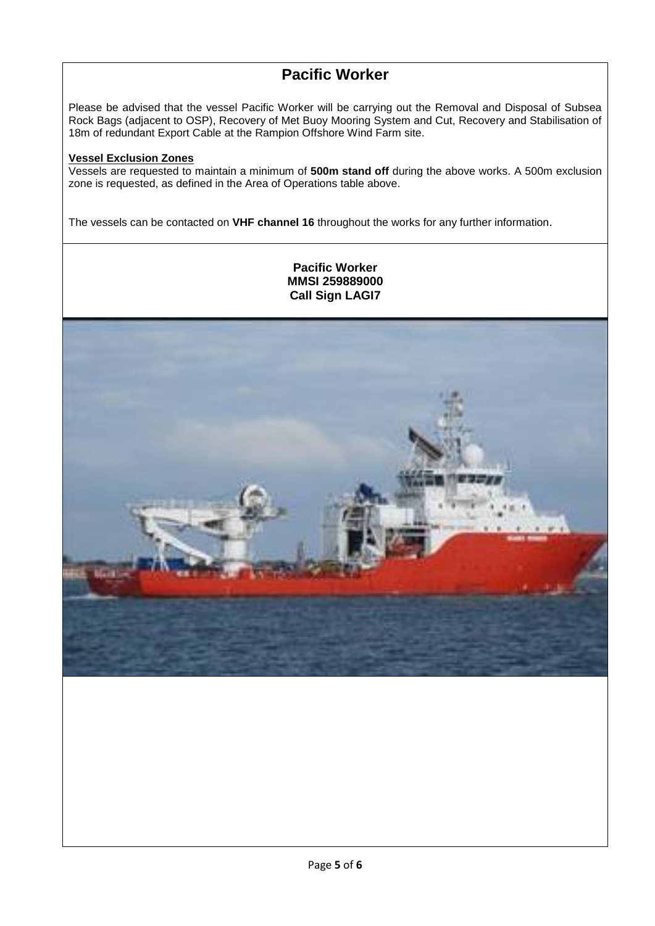## **Pacific Worker**

Please be advised that the vessel Pacific Worker will be carrying out the Removal and Disposal of Subsea Rock Bags (adjacent to OSP), Recovery of Met Buoy Mooring System and Cut, Recovery and Stabilisation of 18m of redundant Export Cable at the Rampion Offshore Wind Farm site.

## **Vessel Exclusion Zones**

Vessels are requested to maintain a minimum of **500m stand off** during the above works. A 500m exclusion zone is requested, as defined in the Area of Operations table above.

The vessels can be contacted on **VHF channel 16** throughout the works for any further information.